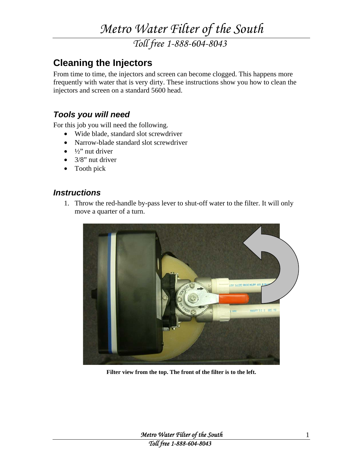*Toll free 1-888-604-8043* 

#### **Cleaning the Injectors**

From time to time, the injectors and screen can become clogged. This happens more frequently with water that is very dirty. These instructions show you how to clean the injectors and screen on a standard 5600 head.

#### *Tools you will need*

For this job you will need the following.

- Wide blade, standard slot screwdriver
- Narrow-blade standard slot screwdriver
- $\bullet$   $\frac{1}{2}$ " nut driver
- $\bullet$  3/8" nut driver
- Tooth pick

#### *Instructions*

1. Throw the red-handle by-pass lever to shut-off water to the filter. It will only move a quarter of a turn.



**Filter view from the top. The front of the filter is to the left.**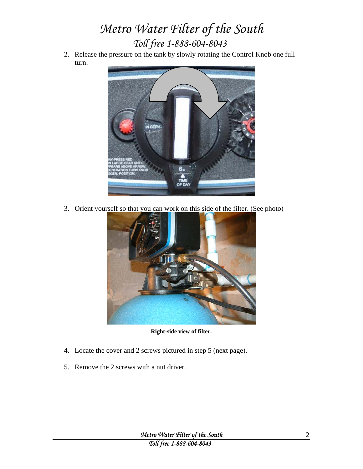*Toll free 1-888-604-8043* 

2. Release the pressure on the tank by slowly rotating the Control Knob one full turn.



3. Orient yourself so that you can work on this side of the filter. (See photo)



**Right-side view of filter.** 

- 4. Locate the cover and 2 screws pictured in step 5 (next page).
- 5. Remove the 2 screws with a nut driver.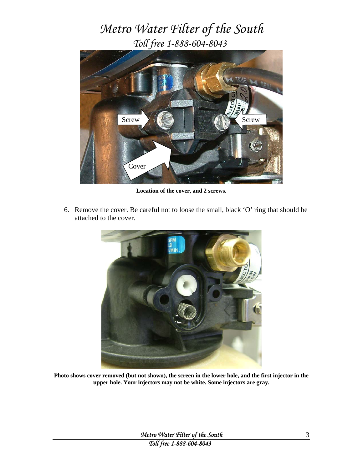*Toll free 1-888-604-8043* 



**Location of the cover, and 2 screws.** 

6. Remove the cover. Be careful not to loose the small, black 'O' ring that should be attached to the cover.



**Photo shows cover removed (but not shown), the screen in the lower hole, and the first injector in the upper hole. Your injectors may not be white. Some injectors are gray.**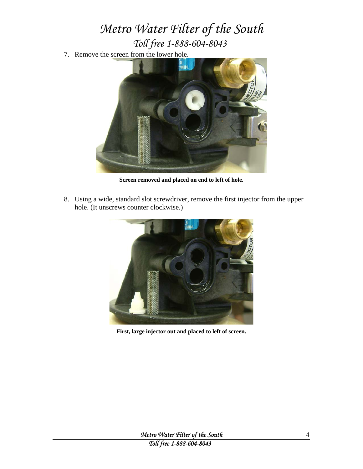*Toll free 1-888-604-8043* 

7. Remove the screen from the lower hole.



**Screen removed and placed on end to left of hole.** 

8. Using a wide, standard slot screwdriver, remove the first injector from the upper hole. (It unscrews counter clockwise.)



**First, large injector out and placed to left of screen.**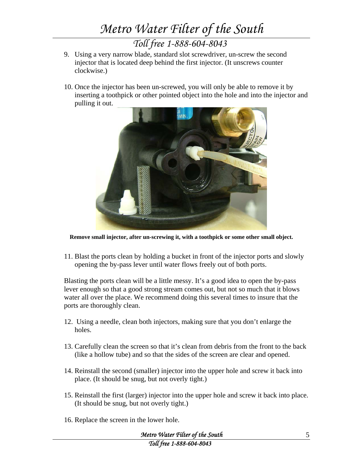*Toll free 1-888-604-8043* 

- 9. Using a very narrow blade, standard slot screwdriver, un-screw the second injector that is located deep behind the first injector. (It unscrews counter clockwise.)
- 10. Once the injector has been un-screwed, you will only be able to remove it by inserting a toothpick or other pointed object into the hole and into the injector and pulling it out.



**Remove small injector, after un-screwing it, with a toothpick or some other small object.** 

11. Blast the ports clean by holding a bucket in front of the injector ports and slowly opening the by-pass lever until water flows freely out of both ports.

Blasting the ports clean will be a little messy. It's a good idea to open the by-pass lever enough so that a good strong stream comes out, but not so much that it blows water all over the place. We recommend doing this several times to insure that the ports are thoroughly clean.

- 12. Using a needle, clean both injectors, making sure that you don't enlarge the holes.
- 13. Carefully clean the screen so that it's clean from debris from the front to the back (like a hollow tube) and so that the sides of the screen are clear and opened.
- 14. Reinstall the second (smaller) injector into the upper hole and screw it back into place. (It should be snug, but not overly tight.)
- 15. Reinstall the first (larger) injector into the upper hole and screw it back into place. (It should be snug, but not overly tight.)
- 16. Replace the screen in the lower hole.